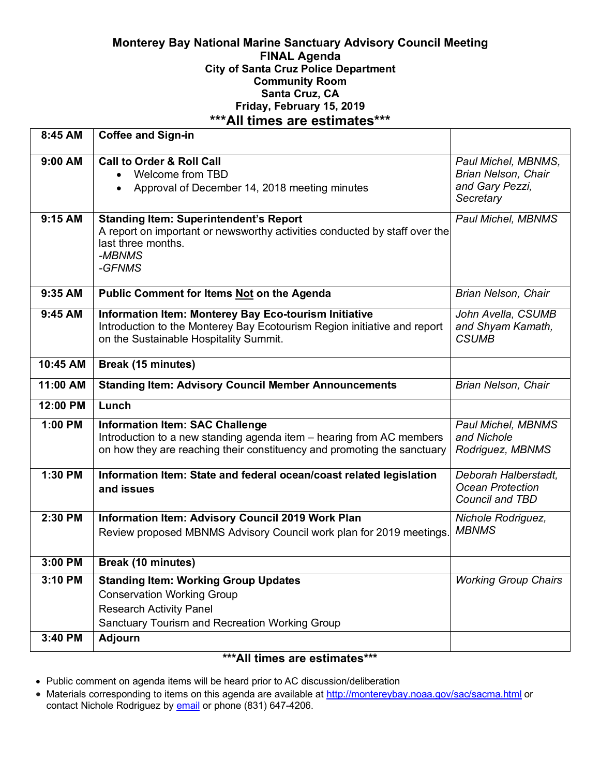# **Monterey Bay National Marine Sanctuary Advisory Council Meeting FINAL Agenda City of Santa Cruz Police Department Community Room Santa Cruz, CA Friday, February 15, 2019 \*\*\*All times are estimates\*\*\***

| 8:45 AM   | <b>Coffee and Sign-in</b>                                                                                                                                                                 |                                                                            |
|-----------|-------------------------------------------------------------------------------------------------------------------------------------------------------------------------------------------|----------------------------------------------------------------------------|
| 9:00 AM   | <b>Call to Order &amp; Roll Call</b><br>Welcome from TBD<br>Approval of December 14, 2018 meeting minutes                                                                                 | Paul Michel, MBNMS,<br>Brian Nelson, Chair<br>and Gary Pezzi,<br>Secretary |
| 9:15 AM   | <b>Standing Item: Superintendent's Report</b><br>A report on important or newsworthy activities conducted by staff over the<br>last three months.<br>-MBNMS<br>-GFNMS                     | Paul Michel, MBNMS                                                         |
| 9:35 AM   | Public Comment for Items Not on the Agenda                                                                                                                                                | Brian Nelson, Chair                                                        |
| 9:45 AM   | Information Item: Monterey Bay Eco-tourism Initiative<br>Introduction to the Monterey Bay Ecotourism Region initiative and report<br>on the Sustainable Hospitality Summit.               | John Avella, CSUMB<br>and Shyam Kamath,<br><b>CSUMB</b>                    |
| 10:45 AM  | <b>Break (15 minutes)</b>                                                                                                                                                                 |                                                                            |
| 11:00 AM  | <b>Standing Item: Advisory Council Member Announcements</b>                                                                                                                               | Brian Nelson, Chair                                                        |
| 12:00 PM  | Lunch                                                                                                                                                                                     |                                                                            |
| 1:00 PM   | <b>Information Item: SAC Challenge</b><br>Introduction to a new standing agenda item - hearing from AC members<br>on how they are reaching their constituency and promoting the sanctuary | Paul Michel, MBNMS<br>and Nichole<br>Rodriguez, MBNMS                      |
| 1:30 PM   | Information Item: State and federal ocean/coast related legislation<br>and issues                                                                                                         | Deborah Halberstadt,<br>Ocean Protection<br>Council and TBD                |
| 2:30 PM   | Information Item: Advisory Council 2019 Work Plan<br>Review proposed MBNMS Advisory Council work plan for 2019 meetings.                                                                  | Nichole Rodriguez,<br><b>MBNMS</b>                                         |
| $3:00$ PM | <b>Break (10 minutes)</b>                                                                                                                                                                 |                                                                            |
| 3:10 PM   | <b>Standing Item: Working Group Updates</b><br><b>Conservation Working Group</b><br><b>Research Activity Panel</b><br>Sanctuary Tourism and Recreation Working Group                      | <b>Working Group Chairs</b>                                                |
| 3:40 PM   | <b>Adjourn</b>                                                                                                                                                                            |                                                                            |
|           |                                                                                                                                                                                           |                                                                            |

### **\*\*\*All times are estimates\*\*\***

- Public comment on agenda items will be heard prior to AC discussion/deliberation
- Materials corresponding to items on this agenda are available at http://montereybay.noaa.gov/sac/sacma.html or contact Nichole Rodriguez by **email** or phone (831) 647-4206.